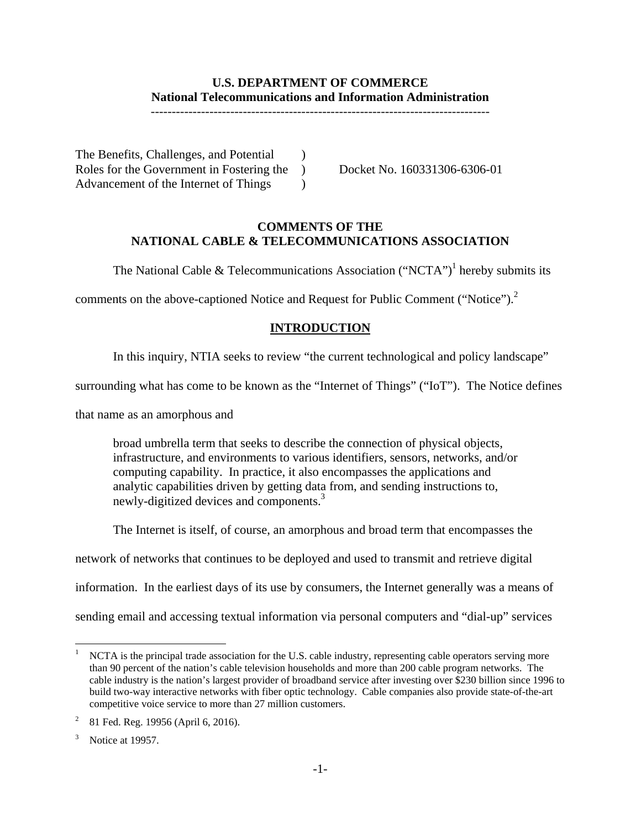# **U.S. DEPARTMENT OF COMMERCE National Telecommunications and Information Administration**

The Benefits, Challenges, and Potential  $\qquad$  ) Roles for the Government in Fostering the ) Docket No. 160331306-6306-01 Advancement of the Internet of Things  $\qquad$ )

## **COMMENTS OF THE NATIONAL CABLE & TELECOMMUNICATIONS ASSOCIATION**

The National Cable & Telecommunications Association ("NCTA")<sup>1</sup> hereby submits its

comments on the above-captioned Notice and Request for Public Comment ("Notice").2

# **INTRODUCTION**

In this inquiry, NTIA seeks to review "the current technological and policy landscape"

surrounding what has come to be known as the "Internet of Things" ("IoT"). The Notice defines

that name as an amorphous and

broad umbrella term that seeks to describe the connection of physical objects, infrastructure, and environments to various identifiers, sensors, networks, and/or computing capability. In practice, it also encompasses the applications and analytic capabilities driven by getting data from, and sending instructions to, newly-digitized devices and components.<sup>3</sup>

The Internet is itself, of course, an amorphous and broad term that encompasses the

network of networks that continues to be deployed and used to transmit and retrieve digital

information. In the earliest days of its use by consumers, the Internet generally was a means of

sending email and accessing textual information via personal computers and "dial-up" services

 $\overline{a}$ 

<sup>1</sup> NCTA is the principal trade association for the U.S. cable industry, representing cable operators serving more than 90 percent of the nation's cable television households and more than 200 cable program networks. The cable industry is the nation's largest provider of broadband service after investing over \$230 billion since 1996 to build two-way interactive networks with fiber optic technology. Cable companies also provide state-of-the-art competitive voice service to more than 27 million customers.

<sup>2</sup> 81 Fed. Reg. 19956 (April 6, 2016).

<sup>3</sup> Notice at 19957.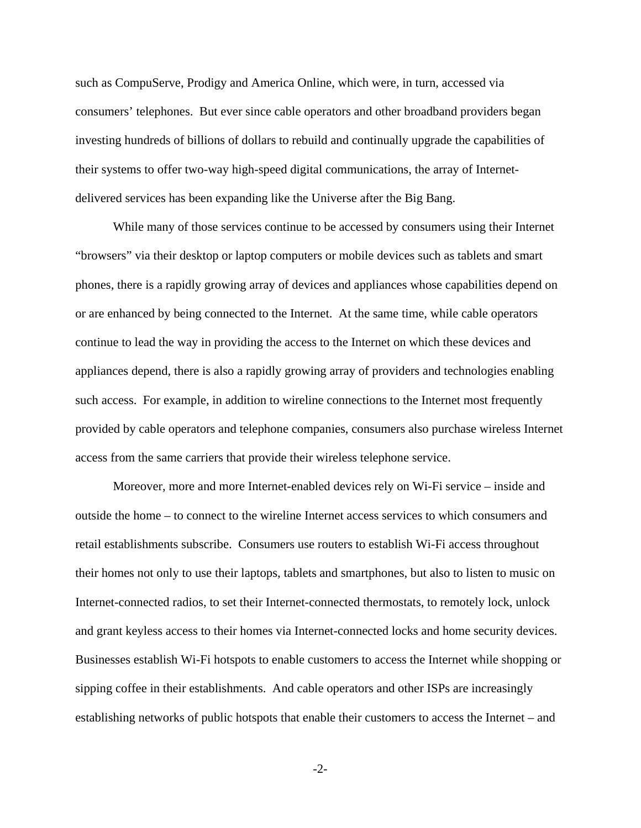such as CompuServe, Prodigy and America Online, which were, in turn, accessed via consumers' telephones. But ever since cable operators and other broadband providers began investing hundreds of billions of dollars to rebuild and continually upgrade the capabilities of their systems to offer two-way high-speed digital communications, the array of Internetdelivered services has been expanding like the Universe after the Big Bang.

 While many of those services continue to be accessed by consumers using their Internet "browsers" via their desktop or laptop computers or mobile devices such as tablets and smart phones, there is a rapidly growing array of devices and appliances whose capabilities depend on or are enhanced by being connected to the Internet. At the same time, while cable operators continue to lead the way in providing the access to the Internet on which these devices and appliances depend, there is also a rapidly growing array of providers and technologies enabling such access. For example, in addition to wireline connections to the Internet most frequently provided by cable operators and telephone companies, consumers also purchase wireless Internet access from the same carriers that provide their wireless telephone service.

 Moreover, more and more Internet-enabled devices rely on Wi-Fi service – inside and outside the home – to connect to the wireline Internet access services to which consumers and retail establishments subscribe. Consumers use routers to establish Wi-Fi access throughout their homes not only to use their laptops, tablets and smartphones, but also to listen to music on Internet-connected radios, to set their Internet-connected thermostats, to remotely lock, unlock and grant keyless access to their homes via Internet-connected locks and home security devices. Businesses establish Wi-Fi hotspots to enable customers to access the Internet while shopping or sipping coffee in their establishments. And cable operators and other ISPs are increasingly establishing networks of public hotspots that enable their customers to access the Internet – and

-2-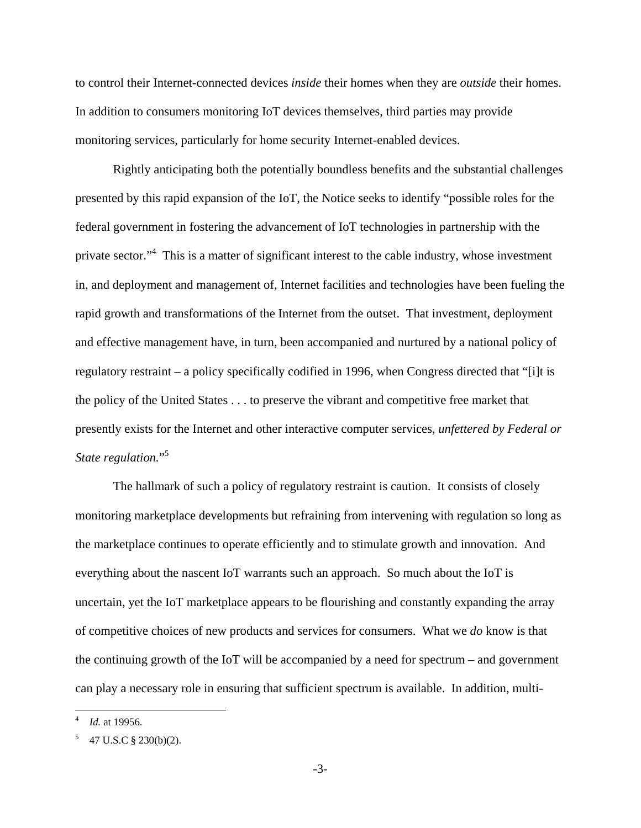to control their Internet-connected devices *inside* their homes when they are *outside* their homes. In addition to consumers monitoring IoT devices themselves, third parties may provide monitoring services, particularly for home security Internet-enabled devices.

 Rightly anticipating both the potentially boundless benefits and the substantial challenges presented by this rapid expansion of the IoT, the Notice seeks to identify "possible roles for the federal government in fostering the advancement of IoT technologies in partnership with the private sector."<sup>4</sup> This is a matter of significant interest to the cable industry, whose investment in, and deployment and management of, Internet facilities and technologies have been fueling the rapid growth and transformations of the Internet from the outset. That investment, deployment and effective management have, in turn, been accompanied and nurtured by a national policy of regulatory restraint – a policy specifically codified in 1996, when Congress directed that "[i]t is the policy of the United States . . . to preserve the vibrant and competitive free market that presently exists for the Internet and other interactive computer services, *unfettered by Federal or State regulation.*" 5

 The hallmark of such a policy of regulatory restraint is caution. It consists of closely monitoring marketplace developments but refraining from intervening with regulation so long as the marketplace continues to operate efficiently and to stimulate growth and innovation. And everything about the nascent IoT warrants such an approach. So much about the IoT is uncertain, yet the IoT marketplace appears to be flourishing and constantly expanding the array of competitive choices of new products and services for consumers. What we *do* know is that the continuing growth of the IoT will be accompanied by a need for spectrum – and government can play a necessary role in ensuring that sufficient spectrum is available. In addition, multi-

1

<sup>4</sup> *Id.* at 19956.

<sup>5</sup> 47 U.S.C § 230(b)(2).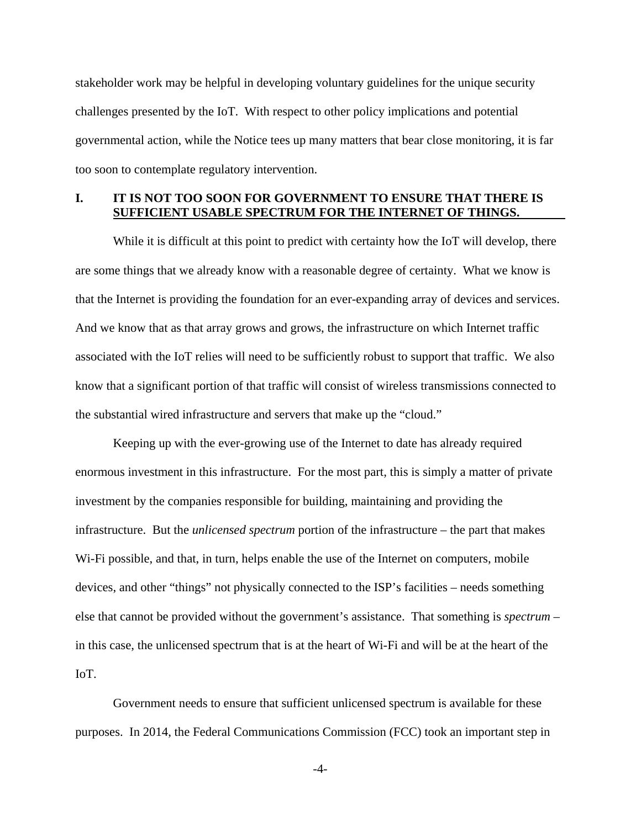stakeholder work may be helpful in developing voluntary guidelines for the unique security challenges presented by the IoT. With respect to other policy implications and potential governmental action, while the Notice tees up many matters that bear close monitoring, it is far too soon to contemplate regulatory intervention.

## **I. IT IS NOT TOO SOON FOR GOVERNMENT TO ENSURE THAT THERE IS SUFFICIENT USABLE SPECTRUM FOR THE INTERNET OF THINGS.**

While it is difficult at this point to predict with certainty how the IoT will develop, there are some things that we already know with a reasonable degree of certainty. What we know is that the Internet is providing the foundation for an ever-expanding array of devices and services. And we know that as that array grows and grows, the infrastructure on which Internet traffic associated with the IoT relies will need to be sufficiently robust to support that traffic. We also know that a significant portion of that traffic will consist of wireless transmissions connected to the substantial wired infrastructure and servers that make up the "cloud."

 Keeping up with the ever-growing use of the Internet to date has already required enormous investment in this infrastructure. For the most part, this is simply a matter of private investment by the companies responsible for building, maintaining and providing the infrastructure. But the *unlicensed spectrum* portion of the infrastructure – the part that makes Wi-Fi possible, and that, in turn, helps enable the use of the Internet on computers, mobile devices, and other "things" not physically connected to the ISP's facilities – needs something else that cannot be provided without the government's assistance. That something is *spectrum* – in this case, the unlicensed spectrum that is at the heart of Wi-Fi and will be at the heart of the IoT.

 Government needs to ensure that sufficient unlicensed spectrum is available for these purposes. In 2014, the Federal Communications Commission (FCC) took an important step in

-4-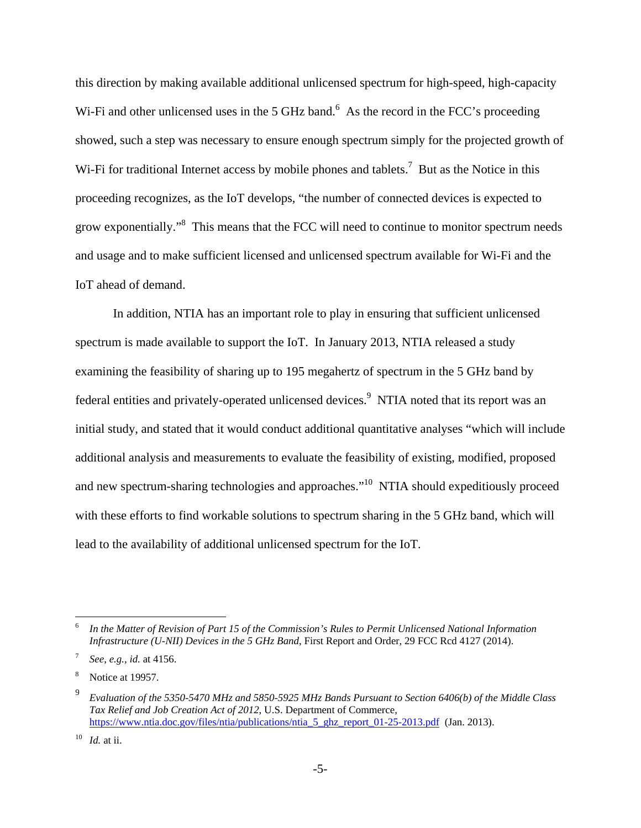this direction by making available additional unlicensed spectrum for high-speed, high-capacity Wi-Fi and other unlicensed uses in the 5 GHz band. $6$  As the record in the FCC's proceeding showed, such a step was necessary to ensure enough spectrum simply for the projected growth of Wi-Fi for traditional Internet access by mobile phones and tablets.<sup>7</sup> But as the Notice in this proceeding recognizes, as the IoT develops, "the number of connected devices is expected to grow exponentially."<sup>8</sup> This means that the FCC will need to continue to monitor spectrum needs and usage and to make sufficient licensed and unlicensed spectrum available for Wi-Fi and the IoT ahead of demand.

In addition, NTIA has an important role to play in ensuring that sufficient unlicensed spectrum is made available to support the IoT. In January 2013, NTIA released a study examining the feasibility of sharing up to 195 megahertz of spectrum in the 5 GHz band by federal entities and privately-operated unlicensed devices.<sup>9</sup> NTIA noted that its report was an initial study, and stated that it would conduct additional quantitative analyses "which will include additional analysis and measurements to evaluate the feasibility of existing, modified, proposed and new spectrum-sharing technologies and approaches."10 NTIA should expeditiously proceed with these efforts to find workable solutions to spectrum sharing in the 5 GHz band, which will lead to the availability of additional unlicensed spectrum for the IoT.

 $\overline{a}$ 6 *In the Matter of Revision of Part 15 of the Commission's Rules to Permit Unlicensed National Information Infrastructure (U-NII) Devices in the 5 GHz Band*, First Report and Order, 29 FCC Rcd 4127 (2014).

<sup>7</sup> *See*, *e.g.*, *id.* at 4156.

<sup>8</sup> Notice at 19957.

<sup>9</sup>*Evaluation of the 5350-5470 MHz and 5850-5925 MHz Bands Pursuant to Section 6406(b) of the Middle Class Tax Relief and Job Creation Act of 2012*, U.S. Department of Commerce, https://www.ntia.doc.gov/files/ntia/publications/ntia\_5\_ghz\_report\_01-25-2013.pdf (Jan. 2013).

<sup>10</sup> *Id.* at ii.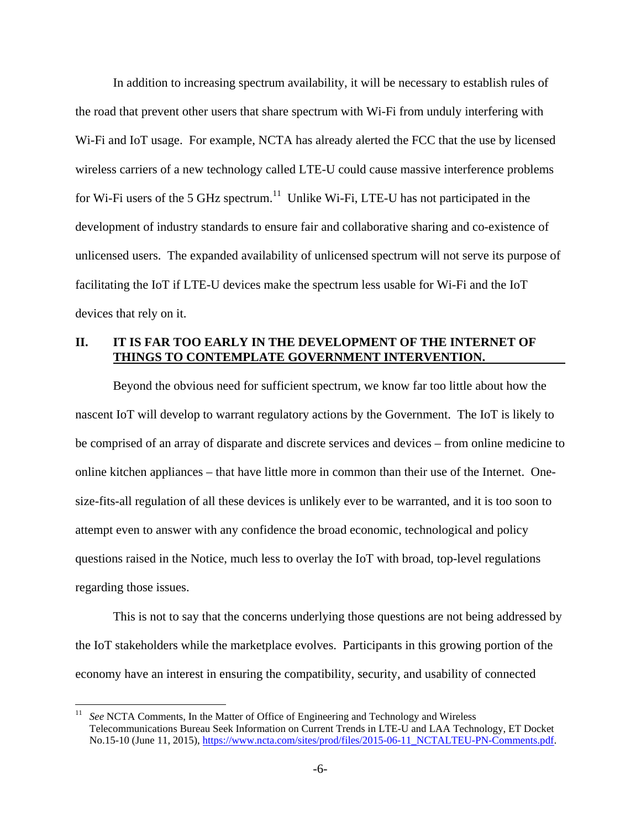In addition to increasing spectrum availability, it will be necessary to establish rules of the road that prevent other users that share spectrum with Wi-Fi from unduly interfering with Wi-Fi and IoT usage. For example, NCTA has already alerted the FCC that the use by licensed wireless carriers of a new technology called LTE-U could cause massive interference problems for Wi-Fi users of the 5 GHz spectrum.<sup>11</sup> Unlike Wi-Fi, LTE-U has not participated in the development of industry standards to ensure fair and collaborative sharing and co-existence of unlicensed users. The expanded availability of unlicensed spectrum will not serve its purpose of facilitating the IoT if LTE-U devices make the spectrum less usable for Wi-Fi and the IoT devices that rely on it.

#### **II. IT IS FAR TOO EARLY IN THE DEVELOPMENT OF THE INTERNET OF THINGS TO CONTEMPLATE GOVERNMENT INTERVENTION.**

Beyond the obvious need for sufficient spectrum, we know far too little about how the nascent IoT will develop to warrant regulatory actions by the Government. The IoT is likely to be comprised of an array of disparate and discrete services and devices – from online medicine to online kitchen appliances – that have little more in common than their use of the Internet. Onesize-fits-all regulation of all these devices is unlikely ever to be warranted, and it is too soon to attempt even to answer with any confidence the broad economic, technological and policy questions raised in the Notice, much less to overlay the IoT with broad, top-level regulations regarding those issues.

This is not to say that the concerns underlying those questions are not being addressed by the IoT stakeholders while the marketplace evolves. Participants in this growing portion of the economy have an interest in ensuring the compatibility, security, and usability of connected

 $\overline{a}$ 

See NCTA Comments, In the Matter of Office of Engineering and Technology and Wireless Telecommunications Bureau Seek Information on Current Trends in LTE-U and LAA Technology, ET Docket No.15-10 (June 11, 2015), https://www.ncta.com/sites/prod/files/2015-06-11\_NCTALTEU-PN-Comments.pdf.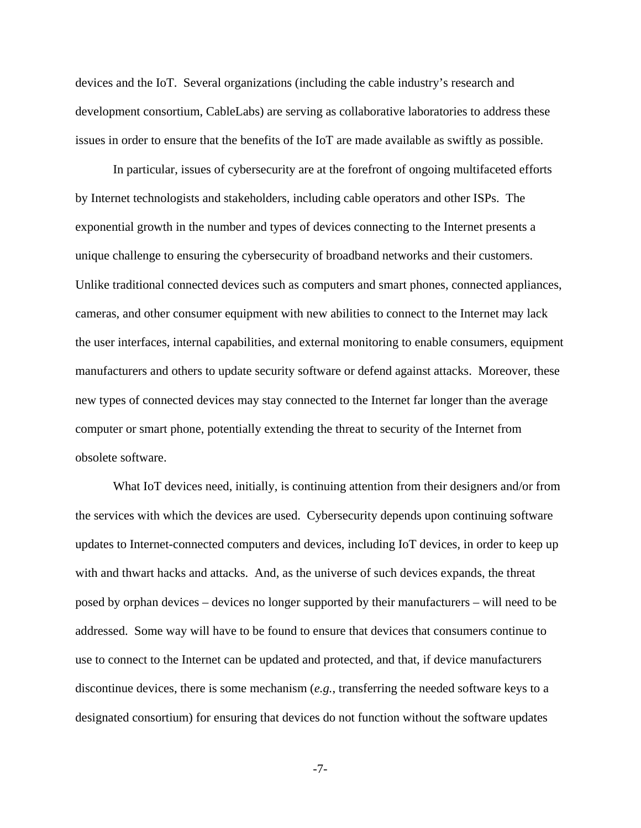devices and the IoT. Several organizations (including the cable industry's research and development consortium, CableLabs) are serving as collaborative laboratories to address these issues in order to ensure that the benefits of the IoT are made available as swiftly as possible.

In particular, issues of cybersecurity are at the forefront of ongoing multifaceted efforts by Internet technologists and stakeholders, including cable operators and other ISPs. The exponential growth in the number and types of devices connecting to the Internet presents a unique challenge to ensuring the cybersecurity of broadband networks and their customers. Unlike traditional connected devices such as computers and smart phones, connected appliances, cameras, and other consumer equipment with new abilities to connect to the Internet may lack the user interfaces, internal capabilities, and external monitoring to enable consumers, equipment manufacturers and others to update security software or defend against attacks. Moreover, these new types of connected devices may stay connected to the Internet far longer than the average computer or smart phone, potentially extending the threat to security of the Internet from obsolete software.

What IoT devices need, initially, is continuing attention from their designers and/or from the services with which the devices are used. Cybersecurity depends upon continuing software updates to Internet-connected computers and devices, including IoT devices, in order to keep up with and thwart hacks and attacks. And, as the universe of such devices expands, the threat posed by orphan devices – devices no longer supported by their manufacturers – will need to be addressed. Some way will have to be found to ensure that devices that consumers continue to use to connect to the Internet can be updated and protected, and that, if device manufacturers discontinue devices, there is some mechanism (*e.g.*, transferring the needed software keys to a designated consortium) for ensuring that devices do not function without the software updates

-7-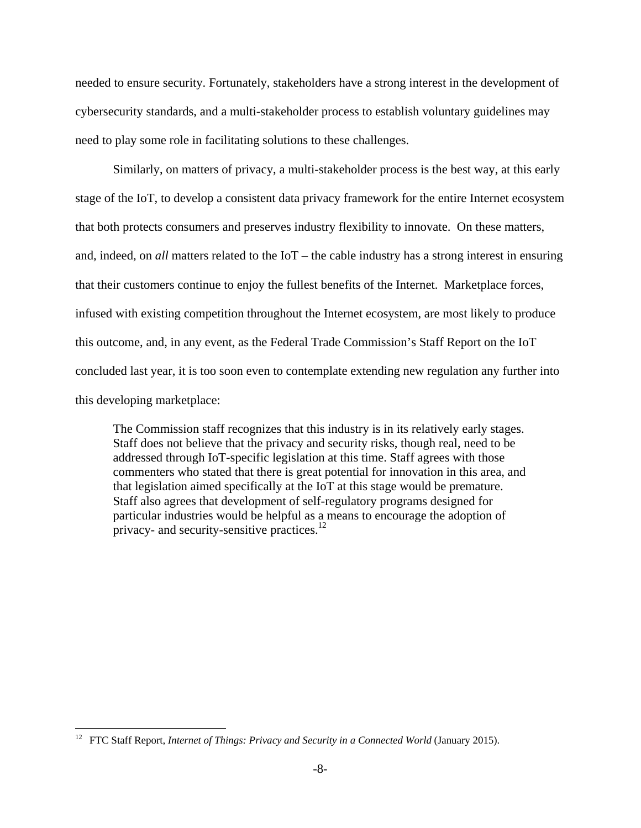needed to ensure security. Fortunately, stakeholders have a strong interest in the development of cybersecurity standards, and a multi-stakeholder process to establish voluntary guidelines may need to play some role in facilitating solutions to these challenges.

Similarly, on matters of privacy, a multi-stakeholder process is the best way, at this early stage of the IoT, to develop a consistent data privacy framework for the entire Internet ecosystem that both protects consumers and preserves industry flexibility to innovate. On these matters, and, indeed, on *all* matters related to the IoT – the cable industry has a strong interest in ensuring that their customers continue to enjoy the fullest benefits of the Internet. Marketplace forces, infused with existing competition throughout the Internet ecosystem, are most likely to produce this outcome, and, in any event, as the Federal Trade Commission's Staff Report on the IoT concluded last year, it is too soon even to contemplate extending new regulation any further into this developing marketplace:

The Commission staff recognizes that this industry is in its relatively early stages. Staff does not believe that the privacy and security risks, though real, need to be addressed through IoT-specific legislation at this time. Staff agrees with those commenters who stated that there is great potential for innovation in this area, and that legislation aimed specifically at the IoT at this stage would be premature. Staff also agrees that development of self-regulatory programs designed for particular industries would be helpful as a means to encourage the adoption of privacy- and security-sensitive practices.<sup>12</sup>

 $\overline{a}$ 

<sup>&</sup>lt;sup>12</sup> FTC Staff Report, *Internet of Things: Privacy and Security in a Connected World* (January 2015).